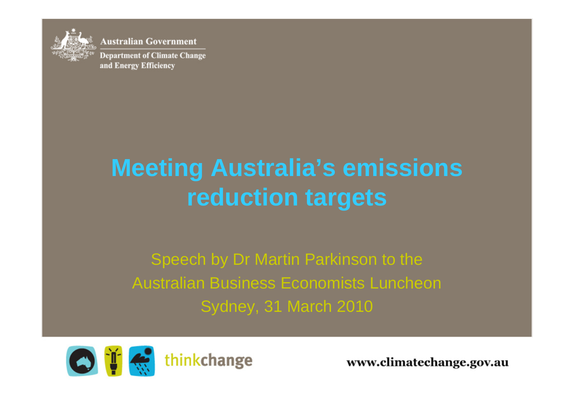

**Australian Government Department of Climate Change** and Energy Efficiency

# **Meeting Australia's emissions reduction targets**

Speech by Dr Martin Parkinson to the Australian Business Economists Luncheon Sydney, 31 March 2010



www.climatechange.gov.au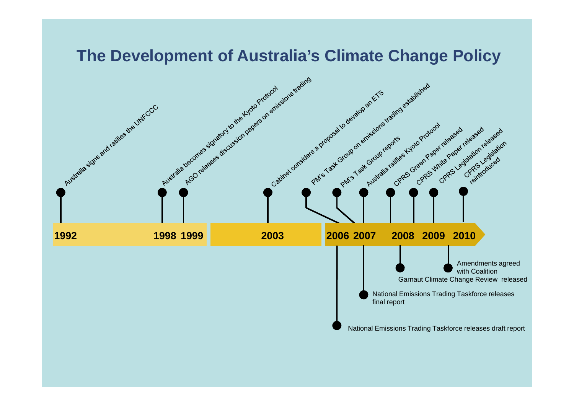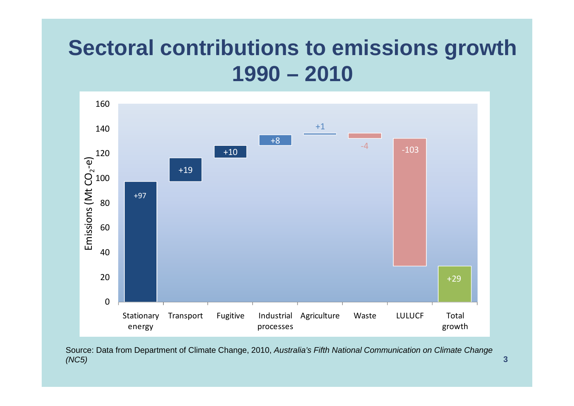#### **Sectoral contributions to emissions growth 1990 – 2010**



Source: Data from Department of Climate Change, 2010, *Australia's Fifth National Communication on Climate Change (NC5)*

**3**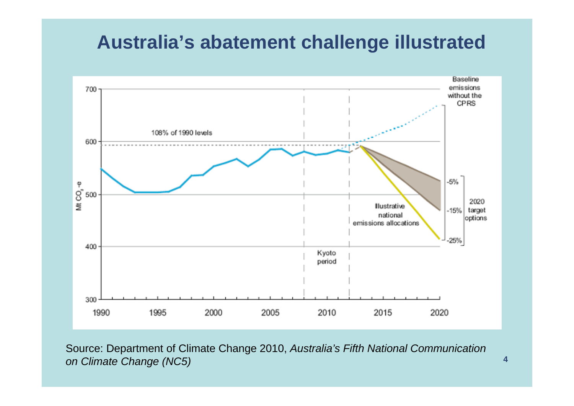#### **Australia's abatement challenge illustrated**



Source: Department of Climate Change 2010, *Australia's Fifth National Communication on Climate Change (NC5)*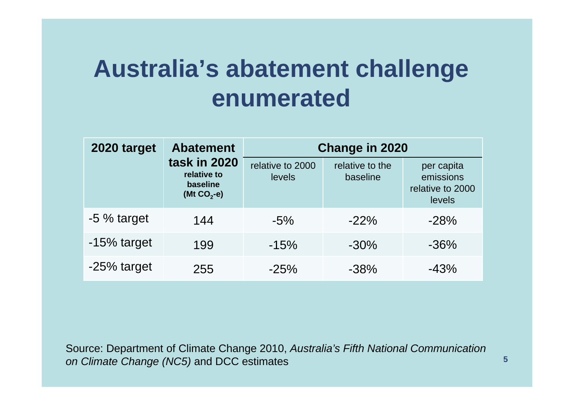#### **Australia's abatement challenge enumerated**

| 2020 target  | <b>Abatement</b><br>task in 2020<br>relative to<br>baseline<br>(Mt $CO2 - e$ ) | <b>Change in 2020</b>      |                             |                                                       |
|--------------|--------------------------------------------------------------------------------|----------------------------|-----------------------------|-------------------------------------------------------|
|              |                                                                                | relative to 2000<br>levels | relative to the<br>baseline | per capita<br>emissions<br>relative to 2000<br>levels |
| $-5%$ target | 144                                                                            | $-5\%$                     | $-22%$                      | $-28%$                                                |
| -15% target  | 199                                                                            | $-15%$                     | $-30%$                      | $-36%$                                                |
| -25% target  | 255                                                                            | $-25%$                     | $-38%$                      | $-43%$                                                |

Source: Department of Climate Change 2010, *Australia's Fifth National Communication on Climate Change (NC5)* and DCC estimates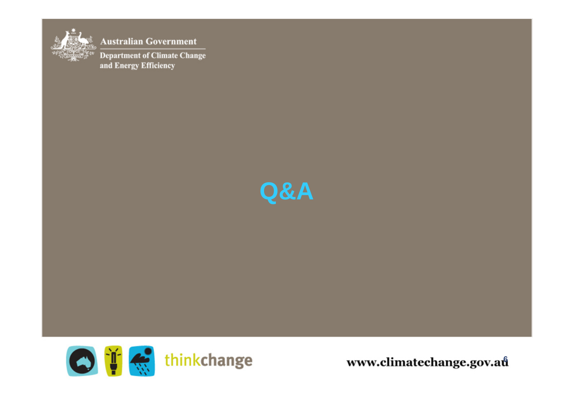

**Australian Government Department of Climate Change** and Energy Efficiency





www.climatechange.gov.au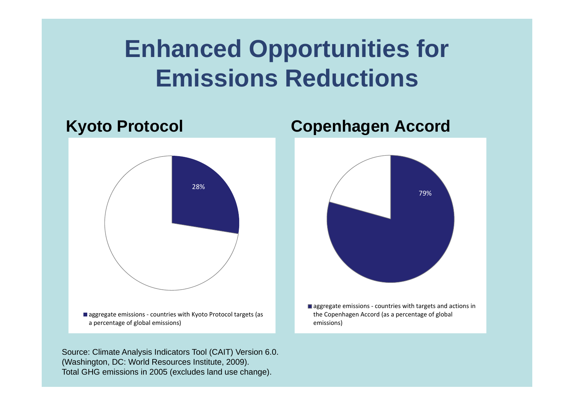## **Enhanced Opportunities for Emissions Reductions**

# **Kyoto Protocol Copenhagen Accord** 28%■ aggregate emissions - countries with Kyoto Protocol targets (as a percentage of global emissions)

Source: Climate Analysis Indicators Tool (CAIT) Version 6.0. (Washington, DC: World Resources Institute, 2009). Total GHG emissions in 2005 (excludes land use change).



■ aggregate emissions - countries with targets and actions in the Copenhagen Accord (as <sup>a</sup> percentage of global emissions)